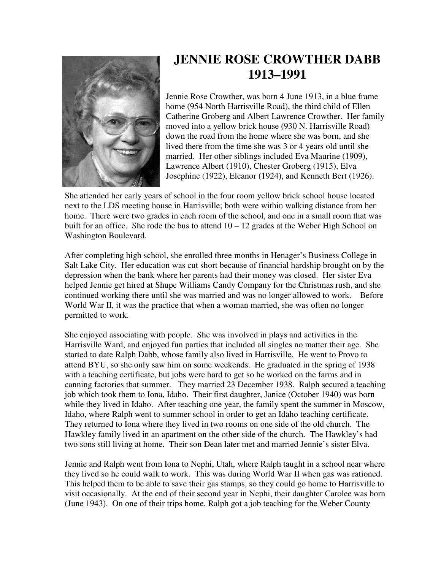

## **JENNIE ROSE CROWTHER DABB 1913–1991**

Jennie Rose Crowther, was born 4 June 1913, in a blue frame home (954 North Harrisville Road), the third child of Ellen Catherine Groberg and Albert Lawrence Crowther. Her family moved into a yellow brick house (930 N. Harrisville Road) down the road from the home where she was born, and she lived there from the time she was 3 or 4 years old until she married. Her other siblings included Eva Maurine (1909), Lawrence Albert (1910), Chester Groberg (1915), Elva Josephine (1922), Eleanor (1924), and Kenneth Bert (1926).

She attended her early years of school in the four room yellow brick school house located next to the LDS meeting house in Harrisville; both were within walking distance from her home. There were two grades in each room of the school, and one in a small room that was built for an office. She rode the bus to attend  $10 - 12$  grades at the Weber High School on Washington Boulevard.

After completing high school, she enrolled three months in Henager's Business College in Salt Lake City. Her education was cut short because of financial hardship brought on by the depression when the bank where her parents had their money was closed. Her sister Eva helped Jennie get hired at Shupe Williams Candy Company for the Christmas rush, and she continued working there until she was married and was no longer allowed to work. Before World War II, it was the practice that when a woman married, she was often no longer permitted to work.

She enjoyed associating with people. She was involved in plays and activities in the Harrisville Ward, and enjoyed fun parties that included all singles no matter their age. She started to date Ralph Dabb, whose family also lived in Harrisville. He went to Provo to attend BYU, so she only saw him on some weekends. He graduated in the spring of 1938 with a teaching certificate, but jobs were hard to get so he worked on the farms and in canning factories that summer. They married 23 December 1938. Ralph secured a teaching job which took them to Iona, Idaho. Their first daughter, Janice (October 1940) was born while they lived in Idaho. After teaching one year, the family spent the summer in Moscow, Idaho, where Ralph went to summer school in order to get an Idaho teaching certificate. They returned to Iona where they lived in two rooms on one side of the old church. The Hawkley family lived in an apartment on the other side of the church. The Hawkley's had two sons still living at home. Their son Dean later met and married Jennie's sister Elva.

Jennie and Ralph went from Iona to Nephi, Utah, where Ralph taught in a school near where they lived so he could walk to work. This was during World War II when gas was rationed. This helped them to be able to save their gas stamps, so they could go home to Harrisville to visit occasionally. At the end of their second year in Nephi, their daughter Carolee was born (June 1943). On one of their trips home, Ralph got a job teaching for the Weber County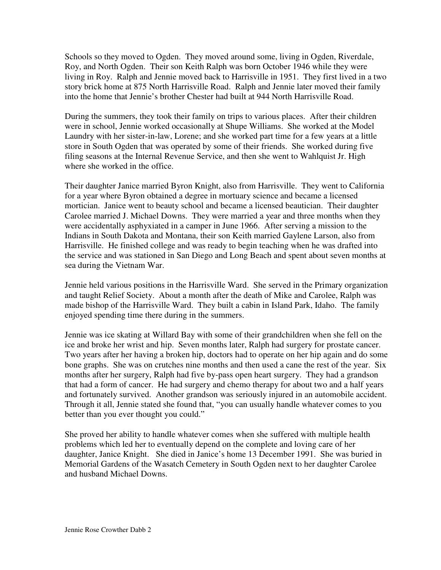Schools so they moved to Ogden. They moved around some, living in Ogden, Riverdale, Roy, and North Ogden. Their son Keith Ralph was born October 1946 while they were living in Roy. Ralph and Jennie moved back to Harrisville in 1951. They first lived in a two story brick home at 875 North Harrisville Road. Ralph and Jennie later moved their family into the home that Jennie's brother Chester had built at 944 North Harrisville Road.

During the summers, they took their family on trips to various places. After their children were in school, Jennie worked occasionally at Shupe Williams. She worked at the Model Laundry with her sister-in-law, Lorene; and she worked part time for a few years at a little store in South Ogden that was operated by some of their friends. She worked during five filing seasons at the Internal Revenue Service, and then she went to Wahlquist Jr. High where she worked in the office.

Their daughter Janice married Byron Knight, also from Harrisville. They went to California for a year where Byron obtained a degree in mortuary science and became a licensed mortician. Janice went to beauty school and became a licensed beautician. Their daughter Carolee married J. Michael Downs. They were married a year and three months when they were accidentally asphyxiated in a camper in June 1966. After serving a mission to the Indians in South Dakota and Montana, their son Keith married Gaylene Larson, also from Harrisville. He finished college and was ready to begin teaching when he was drafted into the service and was stationed in San Diego and Long Beach and spent about seven months at sea during the Vietnam War.

Jennie held various positions in the Harrisville Ward. She served in the Primary organization and taught Relief Society. About a month after the death of Mike and Carolee, Ralph was made bishop of the Harrisville Ward. They built a cabin in Island Park, Idaho. The family enjoyed spending time there during in the summers.

Jennie was ice skating at Willard Bay with some of their grandchildren when she fell on the ice and broke her wrist and hip. Seven months later, Ralph had surgery for prostate cancer. Two years after her having a broken hip, doctors had to operate on her hip again and do some bone graphs. She was on crutches nine months and then used a cane the rest of the year. Six months after her surgery, Ralph had five by-pass open heart surgery. They had a grandson that had a form of cancer. He had surgery and chemo therapy for about two and a half years and fortunately survived. Another grandson was seriously injured in an automobile accident. Through it all, Jennie stated she found that, "you can usually handle whatever comes to you better than you ever thought you could."

She proved her ability to handle whatever comes when she suffered with multiple health problems which led her to eventually depend on the complete and loving care of her daughter, Janice Knight. She died in Janice's home 13 December 1991. She was buried in Memorial Gardens of the Wasatch Cemetery in South Ogden next to her daughter Carolee and husband Michael Downs.